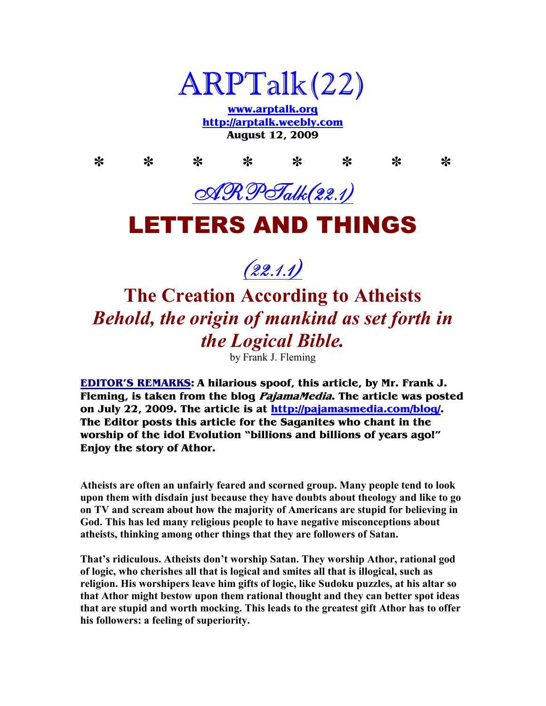

**www.arptalk.org http://arptalk.weebly.com August 12, 2009** 

**\* \* \* \* \* \* \* \***  ARPTalk(22.1)

### LETTERS AND THINGS



## **The Creation According to Atheists**  *Behold, the origin of mankind as set forth in the Logical Bible.*

by Frank J. Fleming

**EDITOR'S REMARKS: A hilarious spoof, this article, by Mr. Frank J. Fleming, is taken from the blog PajamaMedia. The article was posted on July 22, 2009. The article is at http://pajamasmedia.com/blog/. The Editor posts this article for the Saganites who chant in the worship of the idol Evolution "billions and billions of years ago!" Enjoy the story of Athor.** 

**Atheists are often an unfairly feared and scorned group. Many people tend to look upon them with disdain just because they have doubts about theology and like to go on TV and scream about how the majority of Americans are stupid for believing in God. This has led many religious people to have negative misconceptions about atheists, thinking among other things that they are followers of Satan.** 

**That's ridiculous. Atheists don't worship Satan. They worship Athor, rational god of logic, who cherishes all that is logical and smites all that is illogical, such as religion. His worshipers leave him gifts of logic, like Sudoku puzzles, at his altar so that Athor might bestow upon them rational thought and they can better spot ideas that are stupid and worth mocking. This leads to the greatest gift Athor has to offer his followers: a feeling of superiority.**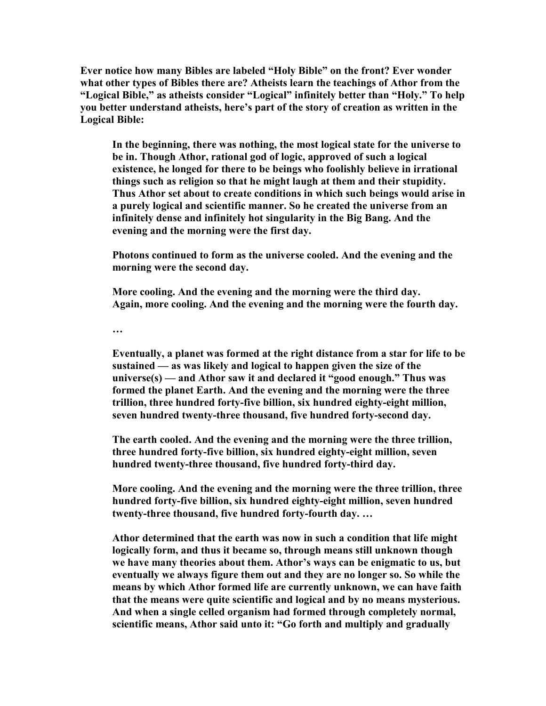**Ever notice how many Bibles are labeled "Holy Bible" on the front? Ever wonder what other types of Bibles there are? Atheists learn the teachings of Athor from the "Logical Bible," as atheists consider "Logical" infinitely better than "Holy." To help you better understand atheists, here's part of the story of creation as written in the Logical Bible:** 

**In the beginning, there was nothing, the most logical state for the universe to be in. Though Athor, rational god of logic, approved of such a logical existence, he longed for there to be beings who foolishly believe in irrational things such as religion so that he might laugh at them and their stupidity. Thus Athor set about to create conditions in which such beings would arise in a purely logical and scientific manner. So he created the universe from an infinitely dense and infinitely hot singularity in the Big Bang. And the evening and the morning were the first day.** 

**Photons continued to form as the universe cooled. And the evening and the morning were the second day.** 

**More cooling. And the evening and the morning were the third day. Again, more cooling. And the evening and the morning were the fourth day.** 

**…** 

**Eventually, a planet was formed at the right distance from a star for life to be sustained — as was likely and logical to happen given the size of the universe(s) — and Athor saw it and declared it "good enough." Thus was formed the planet Earth. And the evening and the morning were the three trillion, three hundred forty-five billion, six hundred eighty-eight million, seven hundred twenty-three thousand, five hundred forty-second day.** 

**The earth cooled. And the evening and the morning were the three trillion, three hundred forty-five billion, six hundred eighty-eight million, seven hundred twenty-three thousand, five hundred forty-third day.** 

**More cooling. And the evening and the morning were the three trillion, three hundred forty-five billion, six hundred eighty-eight million, seven hundred twenty-three thousand, five hundred forty-fourth day. …**

**Athor determined that the earth was now in such a condition that life might logically form, and thus it became so, through means still unknown though we have many theories about them. Athor's ways can be enigmatic to us, but eventually we always figure them out and they are no longer so. So while the means by which Athor formed life are currently unknown, we can have faith that the means were quite scientific and logical and by no means mysterious. And when a single celled organism had formed through completely normal, scientific means, Athor said unto it: "Go forth and multiply and gradually**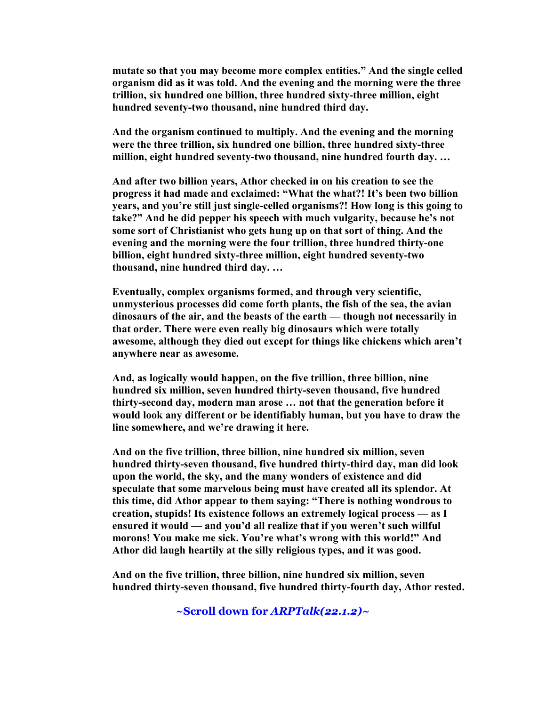**mutate so that you may become more complex entities." And the single celled organism did as it was told. And the evening and the morning were the three trillion, six hundred one billion, three hundred sixty-three million, eight hundred seventy-two thousand, nine hundred third day.** 

**And the organism continued to multiply. And the evening and the morning were the three trillion, six hundred one billion, three hundred sixty-three million, eight hundred seventy-two thousand, nine hundred fourth day. …**

**And after two billion years, Athor checked in on his creation to see the progress it had made and exclaimed: "What the what?! It's been two billion years, and you're still just single-celled organisms?! How long is this going to take?" And he did pepper his speech with much vulgarity, because he's not some sort of Christianist who gets hung up on that sort of thing. And the evening and the morning were the four trillion, three hundred thirty-one billion, eight hundred sixty-three million, eight hundred seventy-two thousand, nine hundred third day. …**

**Eventually, complex organisms formed, and through very scientific, unmysterious processes did come forth plants, the fish of the sea, the avian dinosaurs of the air, and the beasts of the earth — though not necessarily in that order. There were even really big dinosaurs which were totally awesome, although they died out except for things like chickens which aren't anywhere near as awesome.** 

**And, as logically would happen, on the five trillion, three billion, nine hundred six million, seven hundred thirty-seven thousand, five hundred thirty-second day, modern man arose … not that the generation before it would look any different or be identifiably human, but you have to draw the line somewhere, and we're drawing it here.** 

**And on the five trillion, three billion, nine hundred six million, seven hundred thirty-seven thousand, five hundred thirty-third day, man did look upon the world, the sky, and the many wonders of existence and did speculate that some marvelous being must have created all its splendor. At this time, did Athor appear to them saying: "There is nothing wondrous to creation, stupids! Its existence follows an extremely logical process — as I ensured it would — and you'd all realize that if you weren't such willful morons! You make me sick. You're what's wrong with this world!" And Athor did laugh heartily at the silly religious types, and it was good.** 

**And on the five trillion, three billion, nine hundred six million, seven hundred thirty-seven thousand, five hundred thirty-fourth day, Athor rested.** 

**~Scroll down for** *ARPTalk(22.1.2)~*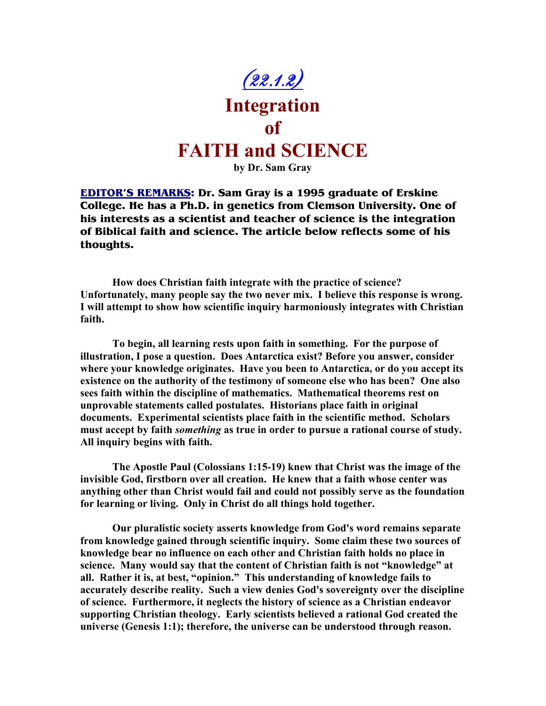

**EDITOR'S REMARKS: Dr. Sam Gray is a 1995 graduate of Erskine College. He has a Ph.D. in genetics from Clemson University. One of his interests as a scientist and teacher of science is the integration of Biblical faith and science. The article below reflects some of his thoughts.** 

**How does Christian faith integrate with the practice of science? Unfortunately, many people say the two never mix. I believe this response is wrong. I will attempt to show how scientific inquiry harmoniously integrates with Christian faith.** 

**To begin, all learning rests upon faith in something. For the purpose of illustration, I pose a question. Does Antarctica exist? Before you answer, consider where your knowledge originates. Have you been to Antarctica, or do you accept its existence on the authority of the testimony of someone else who has been? One also sees faith within the discipline of mathematics. Mathematical theorems rest on unprovable statements called postulates. Historians place faith in original documents. Experimental scientists place faith in the scientific method. Scholars must accept by faith** *something* **as true in order to pursue a rational course of study. All inquiry begins with faith.** 

**The Apostle Paul (Colossians 1:15-19) knew that Christ was the image of the invisible God, firstborn over all creation. He knew that a faith whose center was anything other than Christ would fail and could not possibly serve as the foundation for learning or living. Only in Christ do all things hold together.** 

**Our pluralistic society asserts knowledge from God's word remains separate from knowledge gained through scientific inquiry. Some claim these two sources of knowledge bear no influence on each other and Christian faith holds no place in science. Many would say that the content of Christian faith is not "knowledge" at all. Rather it is, at best, "opinion." This understanding of knowledge fails to accurately describe reality. Such a view denies God's sovereignty over the discipline of science. Furthermore, it neglects the history of science as a Christian endeavor supporting Christian theology. Early scientists believed a rational God created the universe (Genesis 1:1); therefore, the universe can be understood through reason.**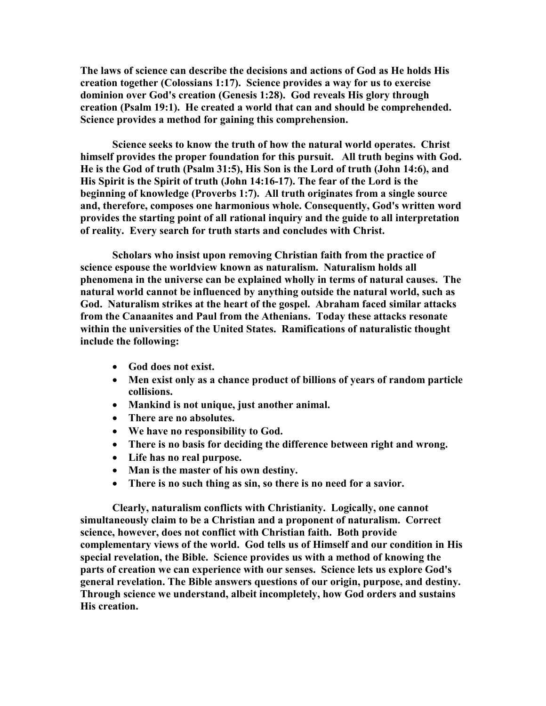**The laws of science can describe the decisions and actions of God as He holds His creation together (Colossians 1:17). Science provides a way for us to exercise dominion over God's creation (Genesis 1:28). God reveals His glory through creation (Psalm 19:1). He created a world that can and should be comprehended. Science provides a method for gaining this comprehension.** 

**Science seeks to know the truth of how the natural world operates. Christ himself provides the proper foundation for this pursuit. All truth begins with God. He is the God of truth (Psalm 31:5), His Son is the Lord of truth (John 14:6), and His Spirit is the Spirit of truth (John 14:16-17). The fear of the Lord is the beginning of knowledge (Proverbs 1:7). All truth originates from a single source and, therefore, composes one harmonious whole. Consequently, God's written word provides the starting point of all rational inquiry and the guide to all interpretation of reality. Every search for truth starts and concludes with Christ.** 

**Scholars who insist upon removing Christian faith from the practice of science espouse the worldview known as naturalism. 9aturalism holds all phenomena in the universe can be explained wholly in terms of natural causes. The natural world cannot be influenced by anything outside the natural world, such as God. 9aturalism strikes at the heart of the gospel. Abraham faced similar attacks from the Canaanites and Paul from the Athenians. Today these attacks resonate within the universities of the United States. Ramifications of naturalistic thought include the following:** 

- **God does not exist.**
- **Men exist only as a chance product of billions of years of random particle collisions.**
- **Mankind is not unique, just another animal.**
- **There are no absolutes.**
- **We have no responsibility to God.**
- **There is no basis for deciding the difference between right and wrong.**
- **Life has no real purpose.**
- **Man is the master of his own destiny.**
- **There is no such thing as sin, so there is no need for a savior.**

**Clearly, naturalism conflicts with Christianity. Logically, one cannot simultaneously claim to be a Christian and a proponent of naturalism. Correct science, however, does not conflict with Christian faith. Both provide complementary views of the world. God tells us of Himself and our condition in His special revelation, the Bible. Science provides us with a method of knowing the parts of creation we can experience with our senses. Science lets us explore God's general revelation. The Bible answers questions of our origin, purpose, and destiny. Through science we understand, albeit incompletely, how God orders and sustains His creation.**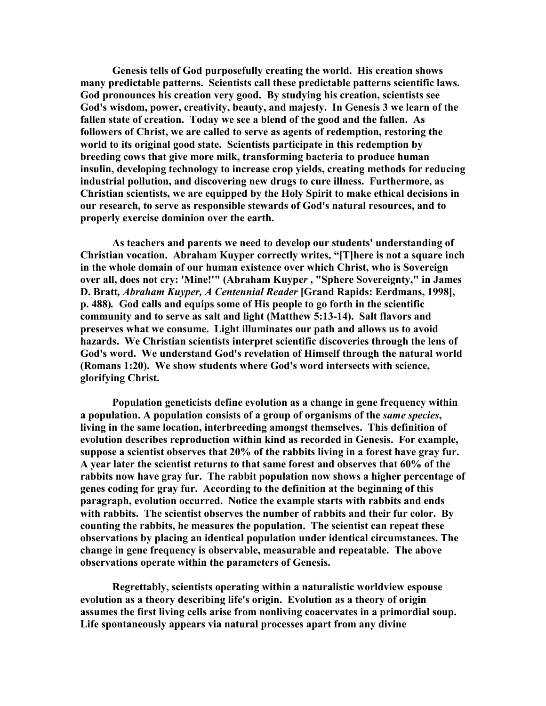**Genesis tells of God purposefully creating the world. His creation shows many predictable patterns. Scientists call these predictable patterns scientific laws. God pronounces his creation very good. By studying his creation, scientists see God's wisdom, power, creativity, beauty, and majesty. In Genesis 3 we learn of the fallen state of creation. Today we see a blend of the good and the fallen. As followers of Christ, we are called to serve as agents of redemption, restoring the world to its original good state. Scientists participate in this redemption by breeding cows that give more milk, transforming bacteria to produce human insulin, developing technology to increase crop yields, creating methods for reducing industrial pollution, and discovering new drugs to cure illness. Furthermore, as Christian scientists, we are equipped by the Holy Spirit to make ethical decisions in our research, to serve as responsible stewards of God's natural resources, and to properly exercise dominion over the earth.** 

**As teachers and parents we need to develop our students' understanding of Christian vocation. Abraham Kuyper correctly writes, "[T]here is not a square inch in the whole domain of our human existence over which Christ, who is Sovereign over all, does not cry: 'Mine!'" (Abraham Kuype***r* **, "Sphere Sovereignty," in James D. Bratt***, Abraham Kuyper, A Centennial Reader* **[Grand Rapids: Eerdmans, 1998], p. 488)***.* **God calls and equips some of His people to go forth in the scientific community and to serve as salt and light (Matthew 5:13-14). Salt flavors and preserves what we consume. Light illuminates our path and allows us to avoid hazards. We Christian scientists interpret scientific discoveries through the lens of God's word. We understand God's revelation of Himself through the natural world (Romans 1:20). We show students where God's word intersects with science, glorifying Christ.** 

**Population geneticists define evolution as a change in gene frequency within a population. A population consists of a group of organisms of the** *same species***, living in the same location, interbreeding amongst themselves. This definition of evolution describes reproduction within kind as recorded in Genesis. For example, suppose a scientist observes that 20% of the rabbits living in a forest have gray fur. A year later the scientist returns to that same forest and observes that 60% of the rabbits now have gray fur. The rabbit population now shows a higher percentage of genes coding for gray fur. According to the definition at the beginning of this paragraph, evolution occurred. Notice the example starts with rabbits and ends with rabbits. The scientist observes the number of rabbits and their fur color. By counting the rabbits, he measures the population. The scientist can repeat these observations by placing an identical population under identical circumstances. The change in gene frequency is observable, measurable and repeatable. The above observations operate within the parameters of Genesis.** 

**Regrettably, scientists operating within a naturalistic worldview espouse evolution as a theory describing life's origin. Evolution as a theory of origin assumes the first living cells arise from nonliving coacervates in a primordial soup. Life spontaneously appears via natural processes apart from any divine**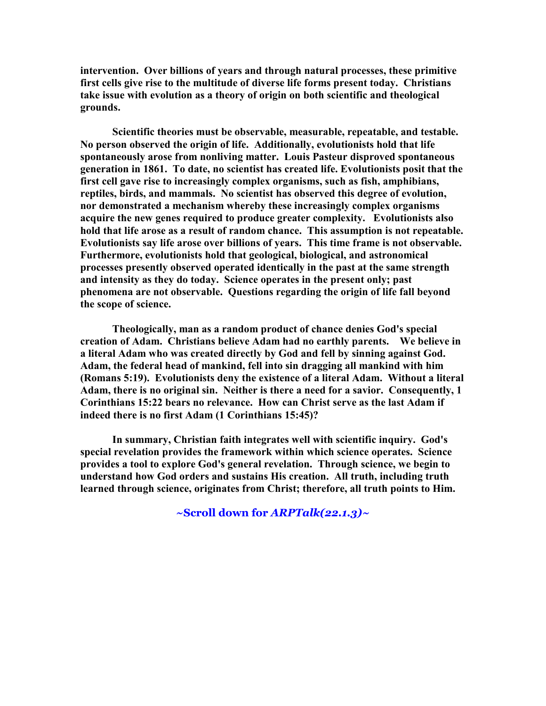**intervention. Over billions of years and through natural processes, these primitive first cells give rise to the multitude of diverse life forms present today. Christians take issue with evolution as a theory of origin on both scientific and theological grounds.** 

**Scientific theories must be observable, measurable, repeatable, and testable. 9o person observed the origin of life. Additionally, evolutionists hold that life spontaneously arose from nonliving matter. Louis Pasteur disproved spontaneous generation in 1861. To date, no scientist has created life. Evolutionists posit that the first cell gave rise to increasingly complex organisms, such as fish, amphibians,**  reptiles, birds, and mammals. No scientist has observed this degree of evolution, **nor demonstrated a mechanism whereby these increasingly complex organisms acquire the new genes required to produce greater complexity. Evolutionists also hold that life arose as a result of random chance. This assumption is not repeatable. Evolutionists say life arose over billions of years. This time frame is not observable. Furthermore, evolutionists hold that geological, biological, and astronomical processes presently observed operated identically in the past at the same strength and intensity as they do today. Science operates in the present only; past phenomena are not observable. Questions regarding the origin of life fall beyond the scope of science.** 

**Theologically, man as a random product of chance denies God's special creation of Adam. Christians believe Adam had no earthly parents. We believe in a literal Adam who was created directly by God and fell by sinning against God. Adam, the federal head of mankind, fell into sin dragging all mankind with him (Romans 5:19). Evolutionists deny the existence of a literal Adam. Without a literal**  Adam, there is no original sin. Neither is there a need for a savior. Consequently, 1 **Corinthians 15:22 bears no relevance. How can Christ serve as the last Adam if indeed there is no first Adam (1 Corinthians 15:45)?** 

**In summary, Christian faith integrates well with scientific inquiry. God's special revelation provides the framework within which science operates. Science provides a tool to explore God's general revelation. Through science, we begin to understand how God orders and sustains His creation. All truth, including truth learned through science, originates from Christ; therefore, all truth points to Him.**

**~Scroll down for** *ARPTalk(22.1.3)~*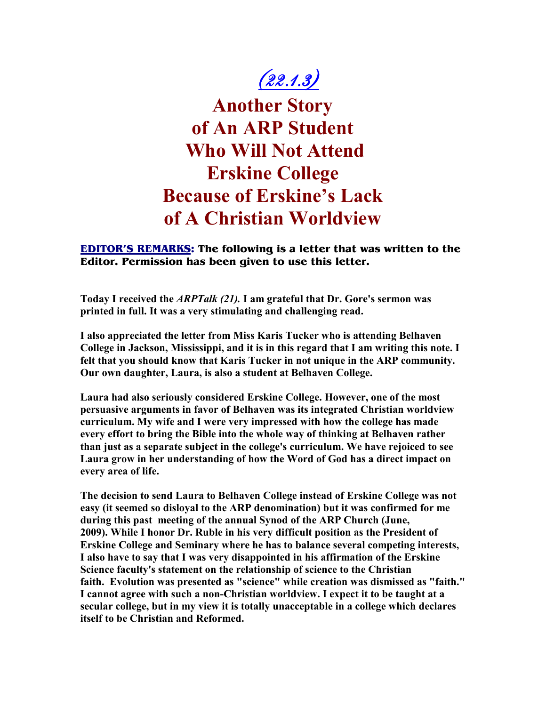## $(22.1.3)$

**Another Story of An ARP Student Who Will Not Attend Erskine College Because of Erskine's Lack of A Christian Worldview** 

**EDITOR'S REMARKS: The following is a letter that was written to the Editor. Permission has been given to use this letter.** 

**Today I received the** *ARPTalk (21).* **I am grateful that Dr. Gore's sermon was printed in full. It was a very stimulating and challenging read.** 

**I also appreciated the letter from Miss Karis Tucker who is attending Belhaven College in Jackson, Mississippi, and it is in this regard that I am writing this note. I felt that you should know that Karis Tucker in not unique in the ARP community. Our own daughter, Laura, is also a student at Belhaven College.** 

**Laura had also seriously considered Erskine College. However, one of the most persuasive arguments in favor of Belhaven was its integrated Christian worldview curriculum. My wife and I were very impressed with how the college has made every effort to bring the Bible into the whole way of thinking at Belhaven rather than just as a separate subject in the college's curriculum. We have rejoiced to see Laura grow in her understanding of how the Word of God has a direct impact on every area of life.** 

**The decision to send Laura to Belhaven College instead of Erskine College was not easy (it seemed so disloyal to the ARP denomination) but it was confirmed for me during this past meeting of the annual Synod of the ARP Church (June, 2009). While I honor Dr. Ruble in his very difficult position as the President of Erskine College and Seminary where he has to balance several competing interests, I also have to say that I was very disappointed in his affirmation of the Erskine Science faculty's statement on the relationship of science to the Christian faith. Evolution was presented as "science" while creation was dismissed as "faith." I cannot agree with such a non-Christian worldview. I expect it to be taught at a secular college, but in my view it is totally unacceptable in a college which declares itself to be Christian and Reformed.**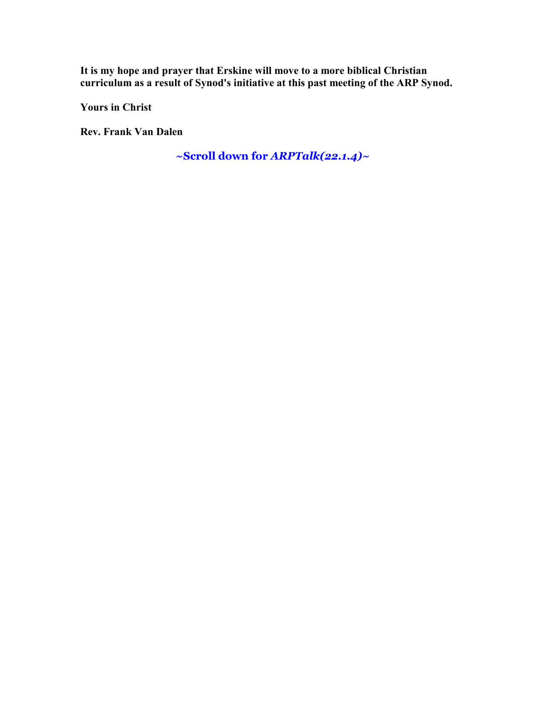**It is my hope and prayer that Erskine will move to a more biblical Christian curriculum as a result of Synod's initiative at this past meeting of the ARP Synod.** 

**Yours in Christ** 

**Rev. Frank Van Dalen** 

**~Scroll down for** *ARPTalk(22.1.4)~*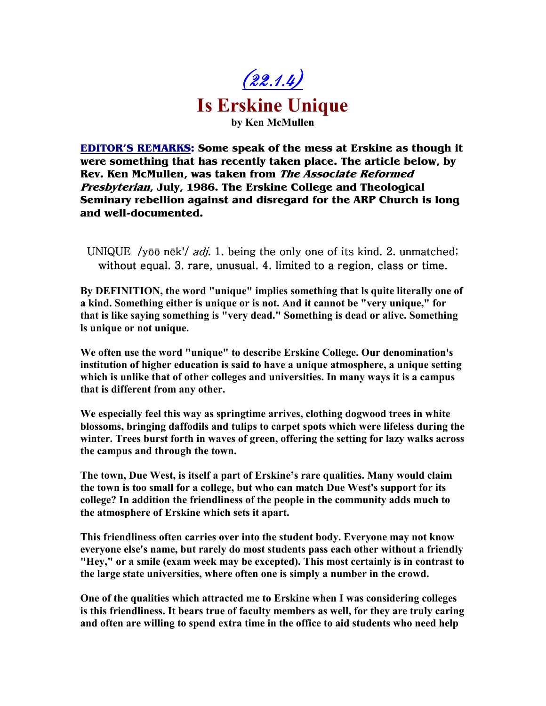

**EDITOR'S REMARKS: Some speak of the mess at Erskine as though it were something that has recently taken place. The article below, by Rev. Ken McMullen, was taken from The Associate Reformed Presbyterian, July, 1986. The Erskine College and Theological Seminary rebellion against and disregard for the ARP Church is long and well-documented.** 

UNIQUE /yōō nēk'/ *adj.* 1. being the only one of its kind. 2. unmatched; without equal.  $3$ . rare, unusual.  $4$ . limited to a region, class or time.

By DEFINITION, the word "unique" implies something that Is quite literally one of **a kind. Something either is unique or is not. And it cannot be "very unique," for that is like saying something is "very dead." Something is dead or alive. Something ls unique or not unique.** 

**We often use the word "unique" to describe Erskine College. Our denomination's institution of higher education is said to have a unique atmosphere, a unique setting which is unlike that of other colleges and universities. In many ways it is a campus that is different from any other.** 

**We especially feel this way as springtime arrives, clothing dogwood trees in white blossoms, bringing daffodils and tulips to carpet spots which were lifeless during the winter. Trees burst forth in waves of green, offering the setting for lazy walks across the campus and through the town.** 

**The town, Due West, is itself a part of Erskine's rare qualities. Many would claim the town is too small for a college, but who can match Due West's support for its college? In addition the friendliness of the people in the community adds much to the atmosphere of Erskine which sets it apart.** 

**This friendliness often carries over into the student body. Everyone may not know everyone else's name, but rarely do most students pass each other without a friendly "Hey," or a smile (exam week may be excepted). This most certainly is in contrast to the large state universities, where often one is simply a number in the crowd.** 

**One of the qualities which attracted me to Erskine when I was considering colleges is this friendliness. It bears true of faculty members as well, for they are truly caring and often are willing to spend extra time in the office to aid students who need help**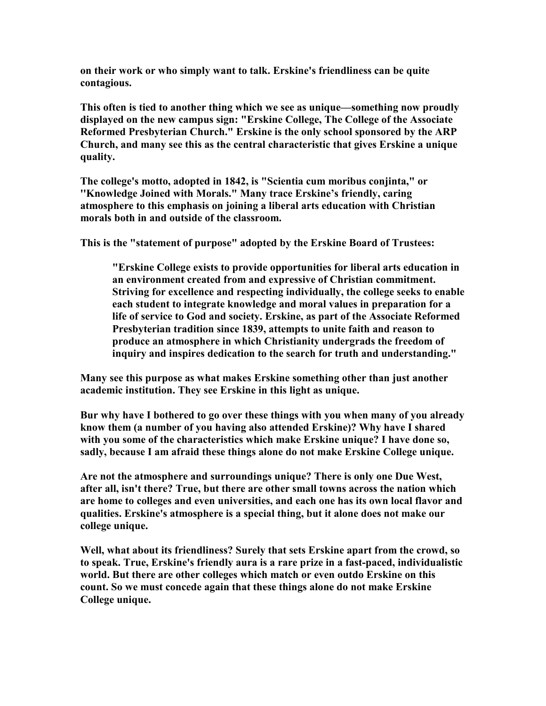**on their work or who simply want to talk. Erskine's friendliness can be quite contagious.** 

**This often is tied to another thing which we see as unique—something now proudly displayed on the new campus sign: "Erskine College, The College of the Associate Reformed Presbyterian Church." Erskine is the only school sponsored by the ARP Church, and many see this as the central characteristic that gives Erskine a unique quality.** 

**The college's motto, adopted in 1842, is "Scientia cum moribus conjinta," or ''Knowledge Joined with Morals." Many trace Erskine's friendly, caring atmosphere to this emphasis on joining a liberal arts education with Christian morals both in and outside of the classroom.** 

**This is the "statement of purpose" adopted by the Erskine Board of Trustees:** 

**"Erskine College exists to provide opportunities for liberal arts education in an environment created from and expressive of Christian commitment. Striving for excellence and respecting individually, the college seeks to enable each student to integrate knowledge and moral values in preparation for a life of service to God and society. Erskine, as part of the Associate Reformed Presbyterian tradition since 1839, attempts to unite faith and reason to produce an atmosphere in which Christianity undergrads the freedom of inquiry and inspires dedication to the search for truth and understanding."** 

**Many see this purpose as what makes Erskine something other than just another academic institution. They see Erskine in this light as unique.** 

**Bur why have I bothered to go over these things with you when many of you already know them (a number of you having also attended Erskine)? Why have I shared with you some of the characteristics which make Erskine unique? I have done so, sadly, because I am afraid these things alone do not make Erskine College unique.** 

**Are not the atmosphere and surroundings unique? There is only one Due West, after all, isn't there? True, but there are other small towns across the nation which are home to colleges and even universities, and each one has its own local flavor and qualities. Erskine's atmosphere is a special thing, but it alone does not make our college unique.** 

**Well, what about its friendliness? Surely that sets Erskine apart from the crowd, so to speak. True, Erskine's friendly aura is a rare prize in a fast-paced, individualistic world. But there are other colleges which match or even outdo Erskine on this count. So we must concede again that these things alone do not make Erskine College unique.**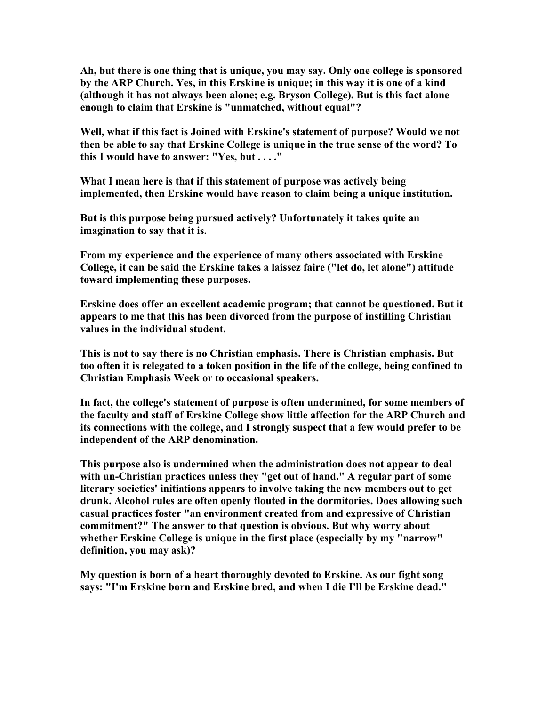**Ah, but there is one thing that is unique, you may say. Only one college is sponsored by the ARP Church. Yes, in this Erskine is unique; in this way it is one of a kind (although it has not always been alone; e.g. Bryson College). But is this fact alone enough to claim that Erskine is "unmatched, without equal"?** 

**Well, what if this fact is Joined with Erskine's statement of purpose? Would we not then be able to say that Erskine College is unique in the true sense of the word? To this I would have to answer: "Yes, but . . . ."** 

**What I mean here is that if this statement of purpose was actively being implemented, then Erskine would have reason to claim being a unique institution.** 

**But is this purpose being pursued actively? Unfortunately it takes quite an imagination to say that it is.** 

**From my experience and the experience of many others associated with Erskine College, it can be said the Erskine takes a laissez faire ("let do, let alone") attitude toward implementing these purposes.** 

**Erskine does offer an excellent academic program; that cannot be questioned. But it appears to me that this has been divorced from the purpose of instilling Christian values in the individual student.** 

**This is not to say there is no Christian emphasis. There is Christian emphasis. But too often it is relegated to a token position in the life of the college, being confined to Christian Emphasis Week or to occasional speakers.** 

**In fact, the college's statement of purpose is often undermined, for some members of the faculty and staff of Erskine College show little affection for the ARP Church and its connections with the college, and I strongly suspect that a few would prefer to be independent of the ARP denomination.** 

**This purpose also is undermined when the administration does not appear to deal with un-Christian practices unless they "get out of hand." A regular part of some literary societies' initiations appears to involve taking the new members out to get drunk. Alcohol rules are often openly flouted in the dormitories. Does allowing such casual practices foster "an environment created from and expressive of Christian commitment?" The answer to that question is obvious. But why worry about whether Erskine College is unique in the first place (especially by my "narrow" definition, you may ask)?** 

**My question is born of a heart thoroughly devoted to Erskine. As our fight song says: "I'm Erskine born and Erskine bred, and when I die I'll be Erskine dead."**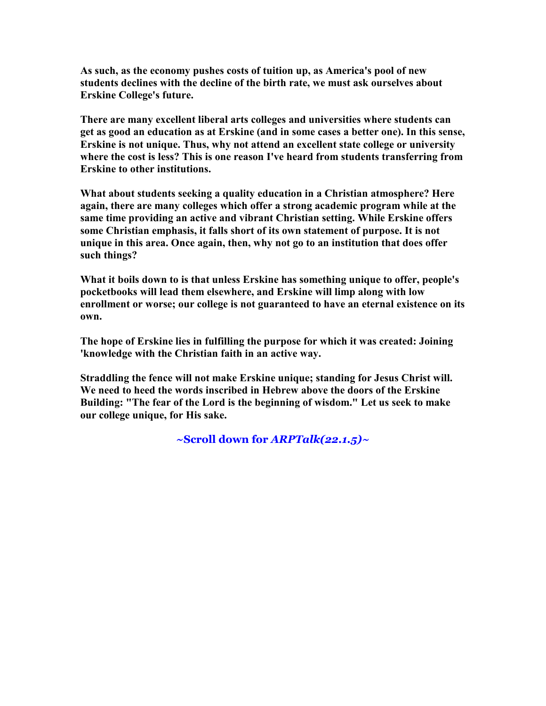**As such, as the economy pushes costs of tuition up, as America's pool of new students declines with the decline of the birth rate, we must ask ourselves about Erskine College's future.** 

**There are many excellent liberal arts colleges and universities where students can get as good an education as at Erskine (and in some cases a better one). In this sense, Erskine is not unique. Thus, why not attend an excellent state college or university where the cost is less? This is one reason I've heard from students transferring from Erskine to other institutions.** 

**What about students seeking a quality education in a Christian atmosphere? Here again, there are many colleges which offer a strong academic program while at the same time providing an active and vibrant Christian setting. While Erskine offers some Christian emphasis, it falls short of its own statement of purpose. It is not unique in this area. Once again, then, why not go to an institution that does offer such things?** 

**What it boils down to is that unless Erskine has something unique to offer, people's pocketbooks will lead them elsewhere, and Erskine will limp along with low enrollment or worse; our college is not guaranteed to have an eternal existence on its own.** 

**The hope of Erskine lies in fulfilling the purpose for which it was created: Joining 'knowledge with the Christian faith in an active way.** 

**Straddling the fence will not make Erskine unique; standing for Jesus Christ will. We need to heed the words inscribed in Hebrew above the doors of the Erskine Building: "The fear of the Lord is the beginning of wisdom." Let us seek to make our college unique, for His sake.** 

**~Scroll down for** *ARPTalk(22.1.5)~*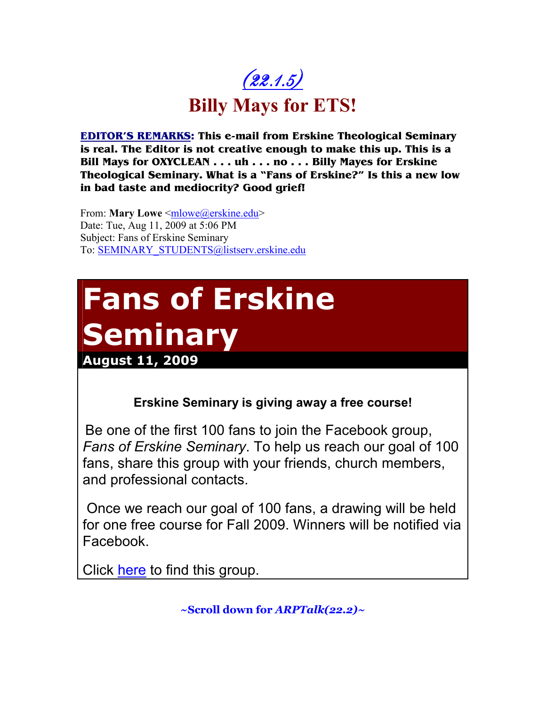

**EDITOR'S REMARKS: This e-mail from Erskine Theological Seminary is real. The Editor is not creative enough to make this up. This is a Bill Mays for OXYCLEAN . . . uh . . . no . . . Billy Mayes for Erskine Theological Seminary. What is a "Fans of Erskine?" Is this a new low in bad taste and mediocrity? Good grief!** 

From: **Mary Lowe** <mlowe@erskine.edu> Date: Tue, Aug 11, 2009 at 5:06 PM Subject: Fans of Erskine Seminary To: SEMINARY\_STUDENTS@listserv.erskine.edu

# **Fans of Erskine Seminary**

**August 11, 2009**

**Erskine Seminary is giving away a free course!**

Be one of the first 100 fans to join the Facebook group, *Fans of Erskine Seminary*. To help us reach our goal of 100 fans, share this group with your friends, church members, and professional contacts.

 Once we reach our goal of 100 fans, a drawing will be held for one free course for Fall 2009. Winners will be notified via Facebook.

Click here to find this group.

**~Scroll down for** *ARPTalk(22.2)~*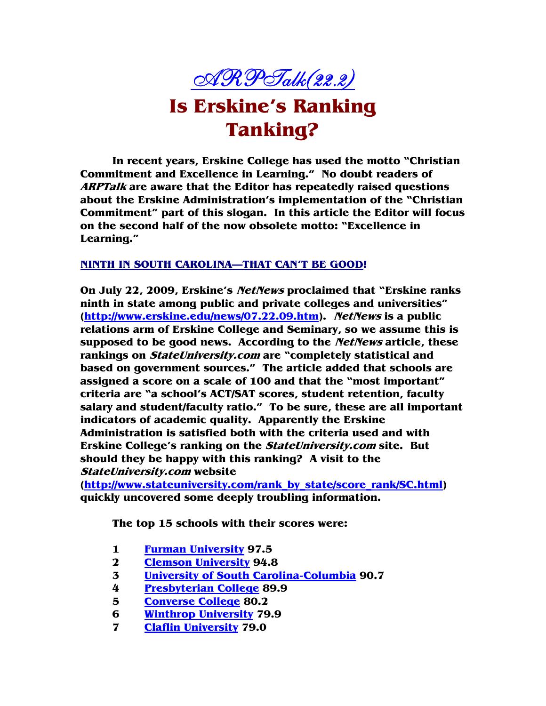

**In recent years, Erskine College has used the motto "Christian Commitment and Excellence in Learning." No doubt readers of ARPTalk are aware that the Editor has repeatedly raised questions about the Erskine Administration's implementation of the "Christian Commitment" part of this slogan. In this article the Editor will focus on the second half of the now obsolete motto: "Excellence in Learning."** 

#### **NINTH IN SOUTH CAROLINA—THAT CAN'T BE GOOD!**

**On July 22, 2009, Erskine's NetNews proclaimed that "Erskine ranks ninth in state among public and private colleges and universities" (http://www.erskine.edu/news/07.22.09.htm). NetNews is a public relations arm of Erskine College and Seminary, so we assume this is supposed to be good news. According to the NetNews article, these rankings on StateUniversity.com are "completely statistical and based on government sources." The article added that schools are assigned a score on a scale of 100 and that the "most important" criteria are "a school's ACT/SAT scores, student retention, faculty salary and student/faculty ratio." To be sure, these are all important indicators of academic quality. Apparently the Erskine Administration is satisfied both with the criteria used and with Erskine College's ranking on the StateUniversity.com site. But should they be happy with this ranking? A visit to the StateUniversity.com website** 

**(http://www.stateuniversity.com/rank\_by\_state/score\_rank/SC.html) quickly uncovered some deeply troubling information.** 

**The top 15 schools with their scores were:** 

- **1 Furman University 97.5**
- **2 Clemson University 94.8**
- **3 University of South Carolina-Columbia 90.7**
- **4 Presbyterian College 89.9**
- **5 Converse College 80.2**
- **6 Winthrop University 79.9**
- **7 Claflin University 79.0**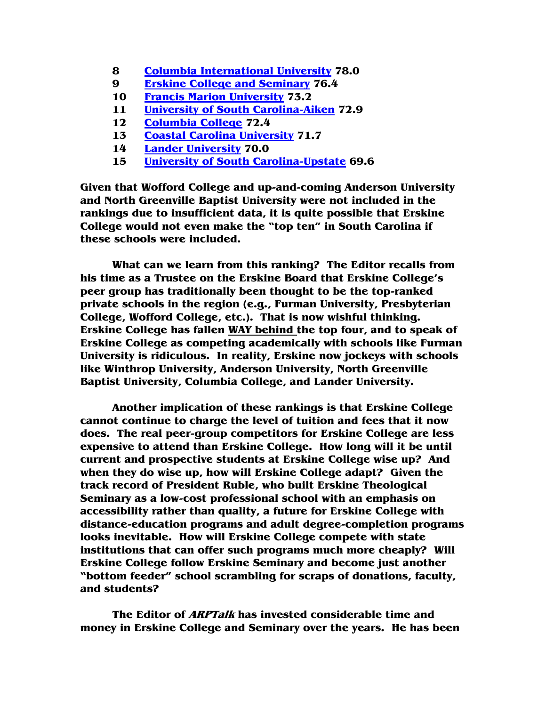- **8 Columbia International University 78.0**
- **9 Erskine College and Seminary 76.4**
- **10 Francis Marion University 73.2**
- **11 University of South Carolina-Aiken 72.9**
- **12 Columbia College 72.4**
- **13 Coastal Carolina University 71.7**
- **14 Lander University 70.0**
- **15 University of South Carolina-Upstate 69.6**

**Given that Wofford College and up-and-coming Anderson University and North Greenville Baptist University were not included in the rankings due to insufficient data, it is quite possible that Erskine College would not even make the "top ten" in South Carolina if these schools were included.** 

**What can we learn from this ranking? The Editor recalls from his time as a Trustee on the Erskine Board that Erskine College's peer group has traditionally been thought to be the top-ranked private schools in the region (e.g., Furman University, Presbyterian College, Wofford College, etc.). That is now wishful thinking. Erskine College has fallen WAY behind the top four, and to speak of Erskine College as competing academically with schools like Furman University is ridiculous. In reality, Erskine now jockeys with schools like Winthrop University, Anderson University, North Greenville Baptist University, Columbia College, and Lander University.** 

**Another implication of these rankings is that Erskine College cannot continue to charge the level of tuition and fees that it now does. The real peer-group competitors for Erskine College are less expensive to attend than Erskine College. How long will it be until current and prospective students at Erskine College wise up? And when they do wise up, how will Erskine College adapt? Given the track record of President Ruble, who built Erskine Theological Seminary as a low-cost professional school with an emphasis on accessibility rather than quality, a future for Erskine College with distance-education programs and adult degree-completion programs looks inevitable. How will Erskine College compete with state institutions that can offer such programs much more cheaply? Will Erskine College follow Erskine Seminary and become just another "bottom feeder" school scrambling for scraps of donations, faculty, and students?** 

**The Editor of ARPTalk has invested considerable time and money in Erskine College and Seminary over the years. He has been**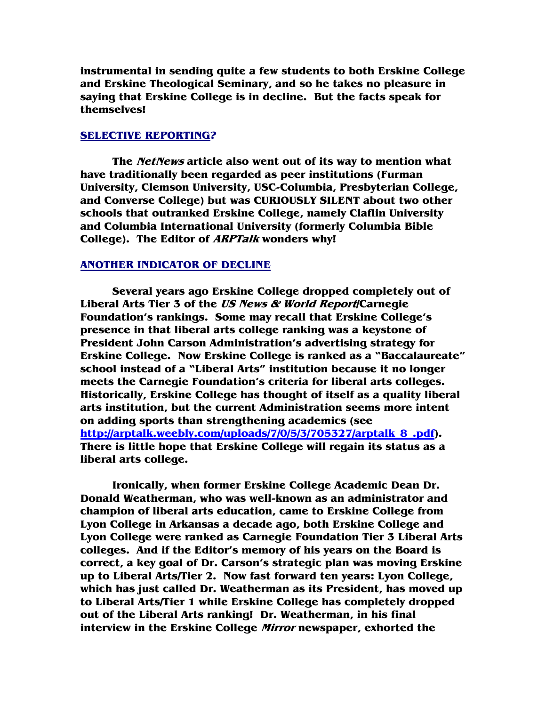**instrumental in sending quite a few students to both Erskine College and Erskine Theological Seminary, and so he takes no pleasure in saying that Erskine College is in decline. But the facts speak for themselves!** 

#### **SELECTIVE REPORTING?**

 **The NetNews article also went out of its way to mention what have traditionally been regarded as peer institutions (Furman University, Clemson University, USC-Columbia, Presbyterian College, and Converse College) but was CURIOUSLY SILENT about two other schools that outranked Erskine College, namely Claflin University and Columbia International University (formerly Columbia Bible College). The Editor of ARPTalk wonders why!** 

#### **ANOTHER INDICATOR OF DECLINE**

 **Several years ago Erskine College dropped completely out of Liberal Arts Tier 3 of the US News & World Report/Carnegie Foundation's rankings. Some may recall that Erskine College's presence in that liberal arts college ranking was a keystone of President John Carson Administration's advertising strategy for Erskine College. Now Erskine College is ranked as a "Baccalaureate" school instead of a "Liberal Arts" institution because it no longer meets the Carnegie Foundation's criteria for liberal arts colleges. Historically, Erskine College has thought of itself as a quality liberal arts institution, but the current Administration seems more intent on adding sports than strengthening academics (see http://arptalk.weebly.com/uploads/7/0/5/3/705327/arptalk\_8\_.pdf). There is little hope that Erskine College will regain its status as a liberal arts college.** 

 **Ironically, when former Erskine College Academic Dean Dr. Donald Weatherman, who was well-known as an administrator and champion of liberal arts education, came to Erskine College from Lyon College in Arkansas a decade ago, both Erskine College and Lyon College were ranked as Carnegie Foundation Tier 3 Liberal Arts colleges. And if the Editor's memory of his years on the Board is correct, a key goal of Dr. Carson's strategic plan was moving Erskine up to Liberal Arts/Tier 2. Now fast forward ten years: Lyon College, which has just called Dr. Weatherman as its President, has moved up to Liberal Arts/Tier 1 while Erskine College has completely dropped out of the Liberal Arts ranking! Dr. Weatherman, in his final interview in the Erskine College Mirror newspaper, exhorted the**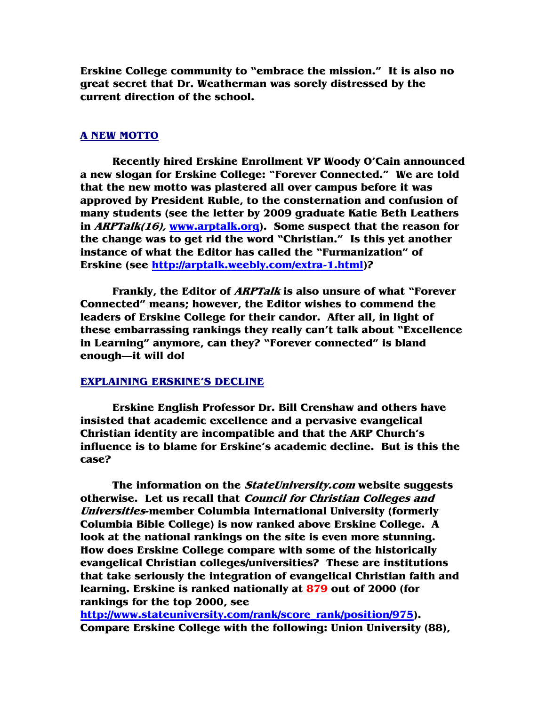**Erskine College community to "embrace the mission." It is also no great secret that Dr. Weatherman was sorely distressed by the current direction of the school.** 

#### **A NEW MOTTO**

 **Recently hired Erskine Enrollment VP Woody O'Cain announced a new slogan for Erskine College: "Forever Connected." We are told that the new motto was plastered all over campus before it was approved by President Ruble, to the consternation and confusion of many students (see the letter by 2009 graduate Katie Beth Leathers in ARPTalk(16), www.arptalk.org). Some suspect that the reason for the change was to get rid the word "Christian." Is this yet another instance of what the Editor has called the "Furmanization" of Erskine (see http://arptalk.weebly.com/extra-1.html)?** 

 **Frankly, the Editor of ARPTalk is also unsure of what "Forever Connected" means; however, the Editor wishes to commend the leaders of Erskine College for their candor. After all, in light of these embarrassing rankings they really can't talk about "Excellence in Learning" anymore, can they? "Forever connected" is bland enough—it will do!** 

#### **EXPLAINING ERSKINE'S DECLINE**

 **Erskine English Professor Dr. Bill Crenshaw and others have insisted that academic excellence and a pervasive evangelical Christian identity are incompatible and that the ARP Church's influence is to blame for Erskine's academic decline. But is this the case?** 

**The information on the StateUniversity.com website suggests otherwise. Let us recall that Council for Christian Colleges and Universities-member Columbia International University (formerly Columbia Bible College) is now ranked above Erskine College. A look at the national rankings on the site is even more stunning. How does Erskine College compare with some of the historically evangelical Christian colleges/universities? These are institutions that take seriously the integration of evangelical Christian faith and learning. Erskine is ranked nationally at 879 out of 2000 (for rankings for the top 2000, see** 

**http://www.stateuniversity.com/rank/score\_rank/position/975). Compare Erskine College with the following: Union University (88),**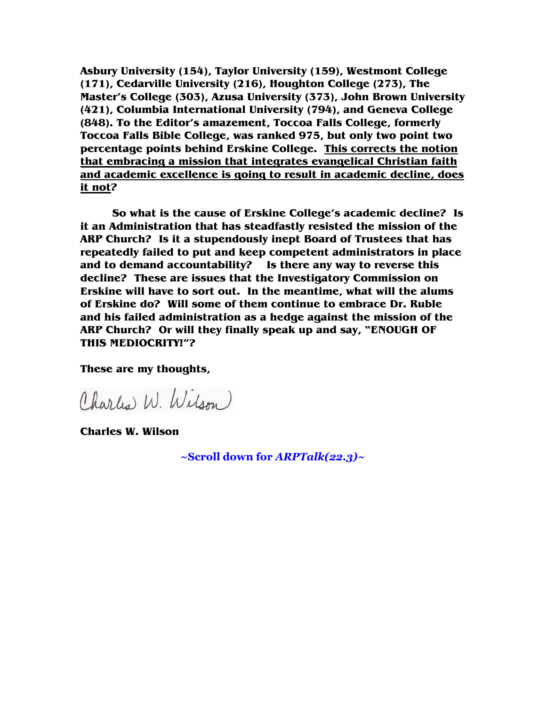**Asbury University (154), Taylor University (159), Westmont College (171), Cedarville University (216), Houghton College (273), The Master's College (303), Azusa University (373), John Brown University (421), Columbia International University (794), and Geneva College (848). To the Editor's amazement, Toccoa Falls College, formerly Toccoa Falls Bible College, was ranked 975, but only two point two percentage points behind Erskine College. This corrects the notion that embracing a mission that integrates evangelical Christian faith and academic excellence is going to result in academic decline, does it not?** 

**So what is the cause of Erskine College's academic decline? Is it an Administration that has steadfastly resisted the mission of the ARP Church? Is it a stupendously inept Board of Trustees that has repeatedly failed to put and keep competent administrators in place and to demand accountability? Is there any way to reverse this decline? These are issues that the Investigatory Commission on Erskine will have to sort out. In the meantime, what will the alums of Erskine do? Will some of them continue to embrace Dr. Ruble and his failed administration as a hedge against the mission of the ARP Church? Or will they finally speak up and say, "ENOUGH OF THIS MEDIOCRITY!"?** 

**These are my thoughts,** 

Charles W. Wilson

**Charles W. Wilson** 

**~Scroll down for** *ARPTalk(22.3)~*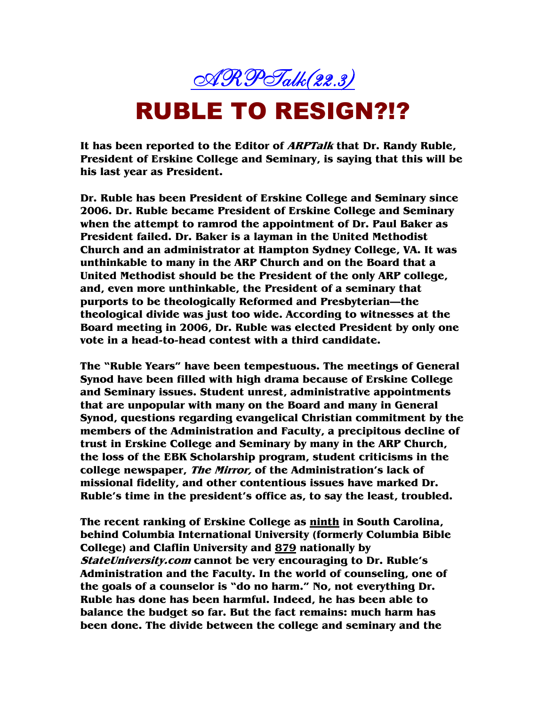

## RUBLE TO RESIGN?!?

**It has been reported to the Editor of ARPTalk that Dr. Randy Ruble, President of Erskine College and Seminary, is saying that this will be his last year as President.** 

**Dr. Ruble has been President of Erskine College and Seminary since 2006. Dr. Ruble became President of Erskine College and Seminary when the attempt to ramrod the appointment of Dr. Paul Baker as President failed. Dr. Baker is a layman in the United Methodist Church and an administrator at Hampton Sydney College, VA. It was unthinkable to many in the ARP Church and on the Board that a United Methodist should be the President of the only ARP college, and, even more unthinkable, the President of a seminary that purports to be theologically Reformed and Presbyterian—the theological divide was just too wide. According to witnesses at the Board meeting in 2006, Dr. Ruble was elected President by only one vote in a head-to-head contest with a third candidate.** 

**The "Ruble Years" have been tempestuous. The meetings of General Synod have been filled with high drama because of Erskine College and Seminary issues. Student unrest, administrative appointments that are unpopular with many on the Board and many in General Synod, questions regarding evangelical Christian commitment by the members of the Administration and Faculty, a precipitous decline of trust in Erskine College and Seminary by many in the ARP Church, the loss of the EBK Scholarship program, student criticisms in the college newspaper, The Mirror, of the Administration's lack of missional fidelity, and other contentious issues have marked Dr. Ruble's time in the president's office as, to say the least, troubled.** 

**The recent ranking of Erskine College as ninth in South Carolina, behind Columbia International University (formerly Columbia Bible College) and Claflin University and 879 nationally by StateUniversity.com cannot be very encouraging to Dr. Ruble's Administration and the Faculty. In the world of counseling, one of the goals of a counselor is "do no harm." No, not everything Dr. Ruble has done has been harmful. Indeed, he has been able to balance the budget so far. But the fact remains: much harm has been done. The divide between the college and seminary and the**